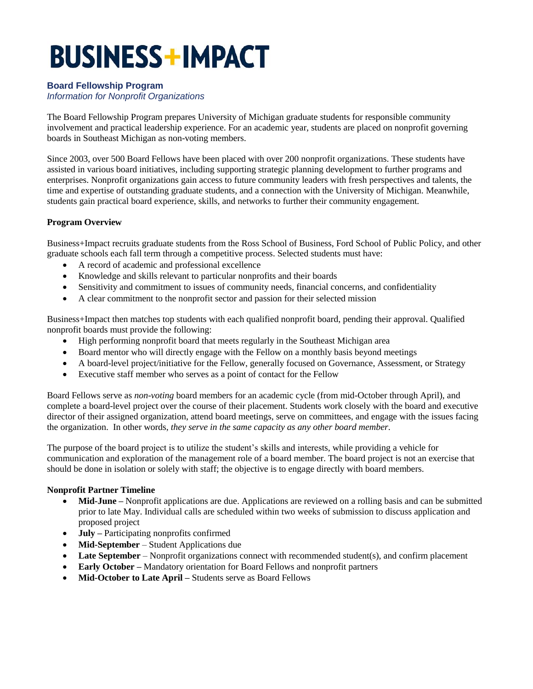# **BUSINESS+IMPACT**

## **Board Fellowship Program**

*Information for Nonprofit Organizations*

The Board Fellowship Program prepares University of Michigan graduate students for responsible community involvement and practical leadership experience. For an academic year, students are placed on nonprofit governing boards in Southeast Michigan as non-voting members.

Since 2003, over 500 Board Fellows have been placed with over 200 nonprofit organizations. These students have assisted in various board initiatives, including supporting strategic planning development to further programs and enterprises. Nonprofit organizations gain access to future community leaders with fresh perspectives and talents, the time and expertise of outstanding graduate students, and a connection with the University of Michigan. Meanwhile, students gain practical board experience, skills, and networks to further their community engagement.

## **Program Overview**

Business+Impact recruits graduate students from the Ross School of Business, Ford School of Public Policy, and other graduate schools each fall term through a competitive process. Selected students must have:

- A record of academic and professional excellence
- Knowledge and skills relevant to particular nonprofits and their boards
- Sensitivity and commitment to issues of community needs, financial concerns, and confidentiality
- A clear commitment to the nonprofit sector and passion for their selected mission

Business+Impact then matches top students with each qualified nonprofit board, pending their approval. Qualified nonprofit boards must provide the following:

- High performing nonprofit board that meets regularly in the Southeast Michigan area
- Board mentor who will directly engage with the Fellow on a monthly basis beyond meetings
- A board-level project/initiative for the Fellow, generally focused on Governance, Assessment, or Strategy
- Executive staff member who serves as a point of contact for the Fellow

Board Fellows serve as *non-voting* board members for an academic cycle (from mid-October through April), and complete a board-level project over the course of their placement. Students work closely with the board and executive director of their assigned organization, attend board meetings, serve on committees, and engage with the issues facing the organization. In other words, *they serve in the same capacity as any other board member*.

The purpose of the board project is to utilize the student's skills and interests, while providing a vehicle for communication and exploration of the management role of a board member. The board project is not an exercise that should be done in isolation or solely with staff; the objective is to engage directly with board members.

## **Nonprofit Partner Timeline**

- **Mid-June –** Nonprofit applications are due. Applications are reviewed on a rolling basis and can be submitted prior to late May. Individual calls are scheduled within two weeks of submission to discuss application and proposed project
- **July –** Participating nonprofits confirmed
- **Mid-September**  Student Applications due
- Late September Nonprofit organizations connect with recommended student(s), and confirm placement
- **Early October –** Mandatory orientation for Board Fellows and nonprofit partners
- **Mid-October to Late April –** Students serve as Board Fellows